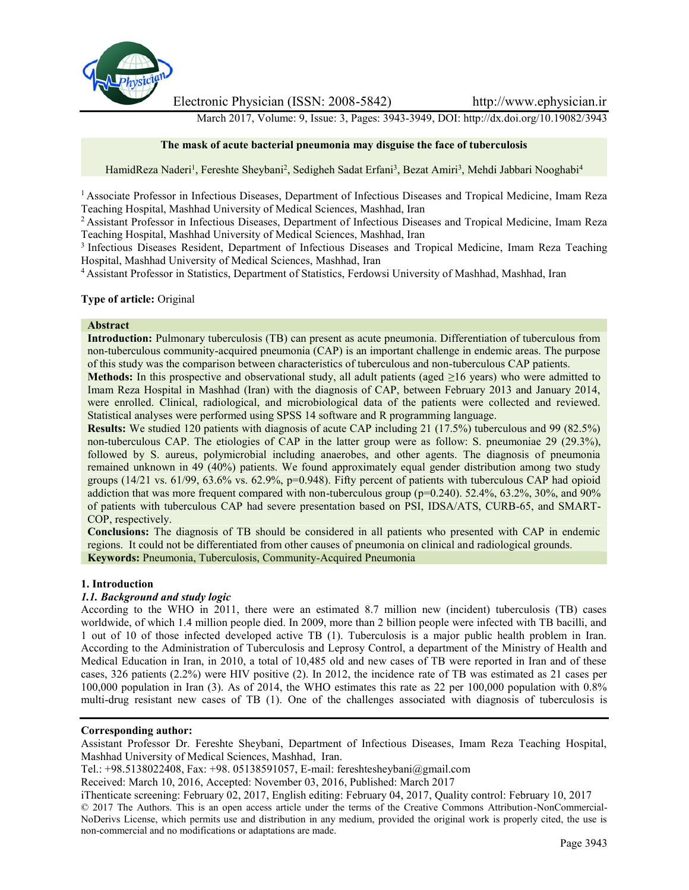

Electronic Physician (ISSN: 2008-5842) http://www.ephysician.ir

March 2017, Volume: 9, Issue: 3, Pages: 3943-3949, DOI: http://dx.doi.org/10.19082/3943

### **The mask of acute bacterial pneumonia may disguise the face of tuberculosis**

HamidReza Naderi<sup>1</sup>, Fereshte Sheybani<sup>2</sup>, Sedigheh Sadat Erfani<sup>3</sup>, Bezat Amiri<sup>3</sup>, Mehdi Jabbari Nooghabi<sup>4</sup>

<sup>1</sup> Associate Professor in Infectious Diseases, Department of Infectious Diseases and Tropical Medicine, Imam Reza Teaching Hospital, Mashhad University of Medical Sciences, Mashhad, Iran

<sup>2</sup> Assistant Professor in Infectious Diseases, Department of Infectious Diseases and Tropical Medicine, Imam Reza Teaching Hospital, Mashhad University of Medical Sciences, Mashhad, Iran

<sup>3</sup> Infectious Diseases Resident, Department of Infectious Diseases and Tropical Medicine, Imam Reza Teaching Hospital, Mashhad University of Medical Sciences, Mashhad, Iran

<sup>4</sup> Assistant Professor in Statistics, Department of Statistics, Ferdowsi University of Mashhad, Mashhad, Iran

### **Type of article:** Original

#### **Abstract**

**Introduction:** Pulmonary tuberculosis (TB) can present as acute pneumonia. Differentiation of tuberculous from non-tuberculous community-acquired pneumonia (CAP) is an important challenge in endemic areas. The purpose of this study was the comparison between characteristics of tuberculous and non-tuberculous CAP patients.

**Methods:** In this prospective and observational study, all adult patients (aged ≥16 years) who were admitted to Imam Reza Hospital in Mashhad (Iran) with the diagnosis of CAP, between February 2013 and January 2014, were enrolled. Clinical, radiological, and microbiological data of the patients were collected and reviewed. Statistical analyses were performed using SPSS 14 software and R programming language.

**Results:** We studied 120 patients with diagnosis of acute CAP including 21 (17.5%) tuberculous and 99 (82.5%) non-tuberculous CAP. The etiologies of CAP in the latter group were as follow: S. pneumoniae 29 (29.3%), followed by S. aureus, polymicrobial including anaerobes, and other agents. The diagnosis of pneumonia remained unknown in 49 (40%) patients. We found approximately equal gender distribution among two study groups (14/21 vs. 61/99, 63.6% vs. 62.9%, p=0.948). Fifty percent of patients with tuberculous CAP had opioid addiction that was more frequent compared with non-tuberculous group ( $p=0.240$ ). 52.4%, 63.2%, 30%, and 90% of patients with tuberculous CAP had severe presentation based on PSI, IDSA/ATS, CURB-65, and SMART- COP, respectively.

**Conclusions:** The diagnosis of TB should be considered in all patients who presented with CAP in endemic regions. It could not be differentiated from other causes of pneumonia on clinical and radiological grounds. **Keywords:** Pneumonia, Tuberculosis, Community-Acquired Pneumonia

### **1. Introduction**

### *1.1. Background and study logic*

According to the WHO in 2011, there were an estimated 8.7 million new (incident) tuberculosis (TB) cases worldwide, of which 1.4 million people died. In 2009, more than 2 billion people were infected with TB bacilli, and 1 out of 10 of those infected developed active TB (1). Tuberculosis is a major public health problem in Iran. According to the Administration of Tuberculosis and Leprosy Control, a department of the Ministry of Health and Medical Education in Iran, in 2010, a total of 10,485 old and new cases of TB were reported in Iran and of these cases, 326 patients (2.2%) were HIV positive (2). In 2012, the incidence rate of TB was estimated as 21 cases per 100,000 population in Iran (3). As of 2014, the WHO estimates this rate as 22 per 100,000 population with 0.8% multi-drug resistant new cases of TB (1). One of the challenges associated with diagnosis of tuberculosis is

### **Corresponding author:**

Assistant Professor Dr. Fereshte Sheybani, Department of Infectious Diseases, Imam Reza Teaching Hospital, Mashhad University of Medical Sciences, Mashhad, Iran.

Received: March 10, 2016, Accepted: November 03, 2016, Published: March 2017

iThenticate screening: February 02, 2017, English editing: February 04, 2017, Quality control: February 10, 2017 © 2017 The Authors. This is an open access article under the terms of the Creative Commons Attribution-NonCommercial- NoDerivs License, which permits use and distribution in any medium, provided the original work is properly cited, the use is non-commercial and no modifications or adaptations are made.

Tel.: +98.5138022408, Fax: +98. 05138591057, E-mail: fereshtesheybani@gmail.com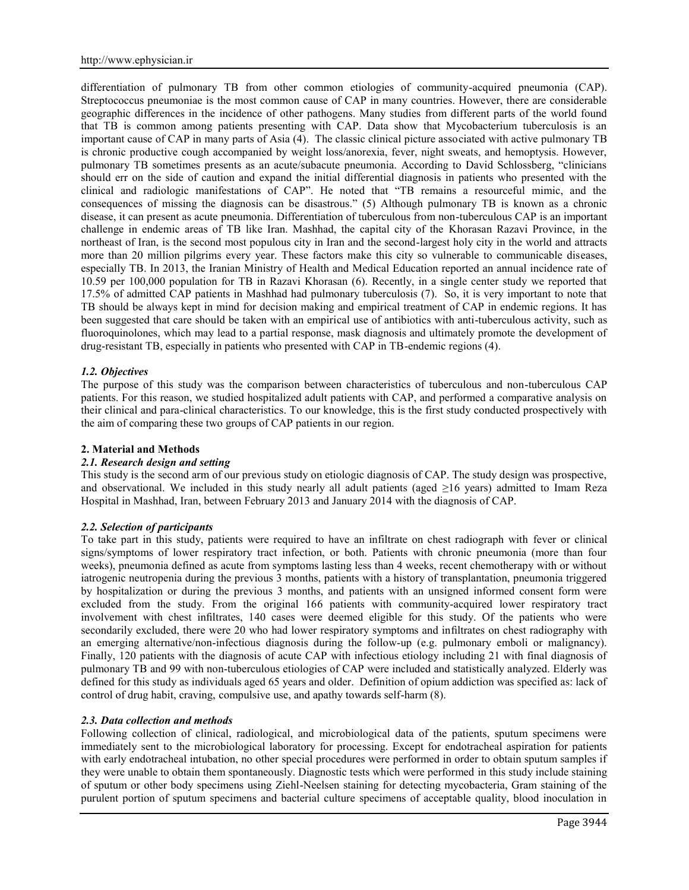differentiation of pulmonary TB from other common etiologies of community-acquired pneumonia (CAP). Streptococcus pneumoniae is the most common cause of CAP in many countries. However, there are considerable geographic differences in the incidence of other pathogens. Many studies from different parts of the world found that TB is common among patients presenting with CAP. Data show that Mycobacterium tuberculosis is an important cause of CAP in many parts of Asia (4). The classic clinical picture associated with active pulmonary TB is chronic productive cough accompanied by weight loss/anorexia, fever, night sweats, and hemoptysis. However, pulmonary TB sometimes presents as an acute/subacute pneumonia. According to David Schlossberg, "clinicians should err on the side of caution and expand the initial differential diagnosis in patients who presented with the clinical and radiologic manifestations of CAP". He noted that "TB remains a resourceful mimic, and the consequences of missing the diagnosis can be disastrous." (5) Although pulmonary TB is known as a chronic disease, it can present as acute pneumonia. Differentiation of tuberculous from non-tuberculous CAP is an important challenge in endemic areas of TB like Iran. Mashhad, the capital city of the Khorasan Razavi Province, in the northeast of Iran, is the second most populous city in Iran and the second-largest holy city in the world and attracts more than 20 million pilgrims every year. These factors make this city so vulnerable to communicable diseases, especially TB. In 2013, the Iranian Ministry of Health and Medical Education reported an annual incidence rate of 10.59 per 100,000 population for TB in Razavi Khorasan (6). Recently, in a single center study we reported that 17.5% of admitted CAP patients in Mashhad had pulmonary tuberculosis (7). So, it is very important to note that TB should be always kept in mind for decision making and empirical treatment of CAP in endemic regions. It has been suggested that care should be taken with an empirical use of antibiotics with anti-tuberculous activity, such as fluoroquinolones, which may lead to a partial response, mask diagnosis and ultimately promote the development of drug-resistant TB, especially in patients who presented with CAP in TB-endemic regions (4).

# *1.2. Objectives*

The purpose of this study was the comparison between characteristics of tuberculous and non-tuberculous CAP patients. For this reason, we studied hospitalized adult patients with CAP, and performed a comparative analysis on their clinical and para-clinical characteristics. To our knowledge, this is the first study conducted prospectively with the aim of comparing these two groups of CAP patients in our region.

### **2. Material and Methods**

### *2.1. Research design and setting*

This study is the second arm of our previous study on etiologic diagnosis of CAP. The study design was prospective, and observational. We included in this study nearly all adult patients (aged ≥16 years) admitted to Imam Reza Hospital in Mashhad, Iran, between February 2013 and January 2014 with the diagnosis of CAP.

### *2.2. Selection of participants*

To take part in this study, patients were required to have an infiltrate on chest radiograph with fever or clinical signs/symptoms of lower respiratory tract infection, or both. Patients with chronic pneumonia (more than four weeks), pneumonia defined as acute from symptoms lasting less than 4 weeks, recent chemotherapy with or without iatrogenic neutropenia during the previous 3 months, patients with a history of transplantation, pneumonia triggered by hospitalization or during the previous 3 months, and patients with an unsigned informed consent form were excluded from the study. From the original 166 patients with community-acquired lower respiratory tract involvement with chest infiltrates, 140 cases were deemed eligible for this study. Of the patients who were secondarily excluded, there were 20 who had lower respiratory symptoms and infiltrates on chest radiography with an emerging alternative/non-infectious diagnosis during the follow-up (e.g. pulmonary emboli or malignancy). Finally, 120 patients with the diagnosis of acute CAP with infectious etiology including 21 with final diagnosis of pulmonary TB and 99 with non-tuberculous etiologies of CAP were included and statistically analyzed. Elderly was defined for this study as individuals aged 65 years and older. Definition of opium addiction was specified as: lack of control of drug habit, craving, compulsive use, and apathy towards self-harm (8).

### *2.3. Data collection and methods*

Following collection of clinical, radiological, and microbiological data of the patients, sputum specimens were immediately sent to the microbiological laboratory for processing. Except for endotracheal aspiration for patients with early endotracheal intubation, no other special procedures were performed in order to obtain sputum samples if they were unable to obtain them spontaneously. Diagnostic tests which were performed in this study include staining of sputum or other body specimens using Ziehl-Neelsen staining for detecting mycobacteria, Gram staining of the purulent portion of sputum specimens and bacterial culture specimens of acceptable quality, blood inoculation in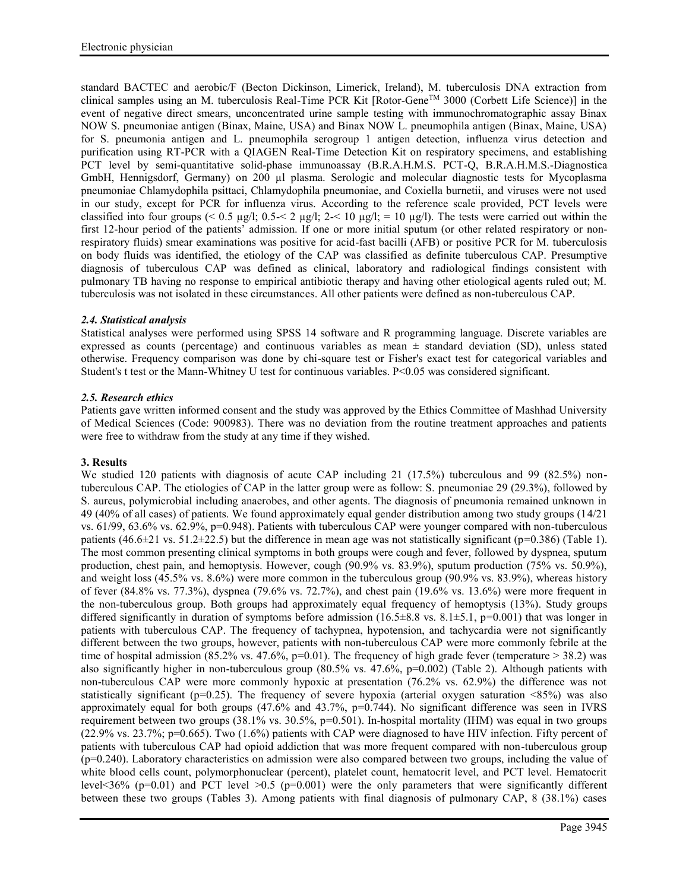standard BACTEC and aerobic/F (Becton Dickinson, Limerick, Ireland), M. tuberculosis DNA extraction from clinical samples using an M. tuberculosis Real-Time PCR Kit  $[Rootor-Gene^{TM} 3000$  (Corbett Life Science)] in the event of negative direct smears, unconcentrated urine sample testing with immunochromatographic assay Binax NOW S. pneumoniae antigen (Binax, Maine, USA) and Binax NOW L. pneumophila antigen (Binax, Maine, USA) for S. pneumonia antigen and L. pneumophila serogroup 1 antigen detection, influenza virus detection and purification using RT-PCR with a QIAGEN Real-Time Detection Kit on respiratory specimens, and establishing PCT level by semi-quantitative solid-phase immunoassay (B.R.A.H.M.S. PCT-Q, B.R.A.H.M.S.-Diagnostica GmbH, Hennigsdorf, Germany) on 200 µl plasma. Serologic and molecular diagnostic tests for Mycoplasma pneumoniae Chlamydophila psittaci, Chlamydophila pneumoniae, and Coxiella burnetii, and viruses were not used in our study, except for PCR for influenza virus. According to the reference scale provided, PCT levels were classified into four groups (< 0.5 µg/l; 0.5 - < 2 µg/l; 2 - 10 µg/l; = 10 µg/l). The tests were carried out within the first 12-hour period of the patients' admission. If one or more initial sputum (or other related respiratory or nonrespiratory fluids) smear examinations was positive for acid-fast bacilli (AFB) or positive PCR for M. tuberculosis on body fluids was identified, the etiology of the CAP was classified as definite tuberculous CAP. Presumptive diagnosis of tuberculous CAP was defined as clinical, laboratory and radiological findings consistent with pulmonary TB having no response to empirical antibiotic therapy and having other etiological agents ruled out; M. tuberculosis was not isolated in these circumstances. All other patients were defined as non-tuberculous CAP.

# *2.4. Statistical analysis*

Statistical analyses were performed using SPSS 14 software and R programming language. Discrete variables are expressed as counts (percentage) and continuous variables as mean  $\pm$  standard deviation (SD), unless stated otherwise. Frequency comparison was done by chi-square test or Fisher's exact test for categorical variables and Student's t test or the Mann-Whitney U test for continuous variables. P<0.05 was considered significant.

# *2.5. Research ethics*

Patients gave written informed consent and the study was approved by the Ethics Committee of Mashhad University of Medical Sciences (Code: 900983). There was no deviation from the routine treatment approaches and patients were free to withdraw from the study at any time if they wished.

# **3. Results**

We studied 120 patients with diagnosis of acute CAP including 21 (17.5%) tuberculous and 99 (82.5%) nontuberculous CAP. The etiologies of CAP in the latter group were as follow: S. pneumoniae 29 (29.3%), followed by S. aureus, polymicrobial including anaerobes, and other agents. The diagnosis of pneumonia remained unknown in 49 (40% of all cases) of patients. We found approximately equal gender distribution among two study groups (14/21 vs. 61/99, 63.6% vs. 62.9%, p=0.948). Patients with tuberculous CAP were younger compared with non-tuberculous patients  $(46.6\pm21 \text{ vs. } 51.2\pm22.5)$  but the difference in mean age was not statistically significant (p=0.386) (Table 1). The most common presenting clinical symptoms in both groups were cough and fever, followed by dyspnea, sputum production, chest pain, and hemoptysis. However, cough (90.9% vs. 83.9%), sputum production (75% vs. 50.9%), and weight loss (45.5% vs. 8.6%) were more common in the tuberculous group (90.9% vs. 83.9%), whereas history of fever (84.8% vs. 77.3%), dyspnea (79.6% vs. 72.7%), and chest pain (19.6% vs. 13.6%) were more frequent in the non-tuberculous group. Both groups had approximately equal frequency of hemoptysis (13%). Study groups differed significantly in duration of symptoms before admission (16.5±8.8 vs. 8.1±5.1, p=0.001) that was longer in patients with tuberculous CAP. The frequency of tachypnea, hypotension, and tachycardia were not significantly different between the two groups, however, patients with non-tuberculous CAP were more commonly febrile at the time of hospital admission (85.2% vs. 47.6%, p=0.01). The frequency of high grade fever (temperature  $>$  38.2) was also significantly higher in non-tuberculous group (80.5% vs. 47.6%, p=0.002) (Table 2). Although patients with non-tuberculous CAP were more commonly hypoxic at presentation (76.2% vs. 62.9%) the difference was not statistically significant ( $p=0.25$ ). The frequency of severe hypoxia (arterial oxygen saturation  $\langle 85\% \rangle$ ) was also approximately equal for both groups  $(47.6\%$  and  $43.7\%$ ,  $p=0.744$ ). No significant difference was seen in IVRS requirement between two groups (38.1% vs. 30.5%, p=0.501). In-hospital mortality (IHM) was equal in two groups (22.9% vs. 23.7%; p=0.665). Two (1.6%) patients with CAP were diagnosed to have HIV infection. Fifty percent of patients with tuberculous CAP had opioid addiction that was more frequent compared with non-tuberculous group (p=0.240). Laboratory characteristics on admission were also compared between two groups, including the value of white blood cells count, polymorphonuclear (percent), platelet count, hematocrit level, and PCT level. Hematocrit level <36% ( $p=0.01$ ) and PCT level >0.5 ( $p=0.001$ ) were the only parameters that were significantly different between these two groups (Tables 3). Among patients with final diagnosis of pulmonary CAP, 8 (38.1%) cases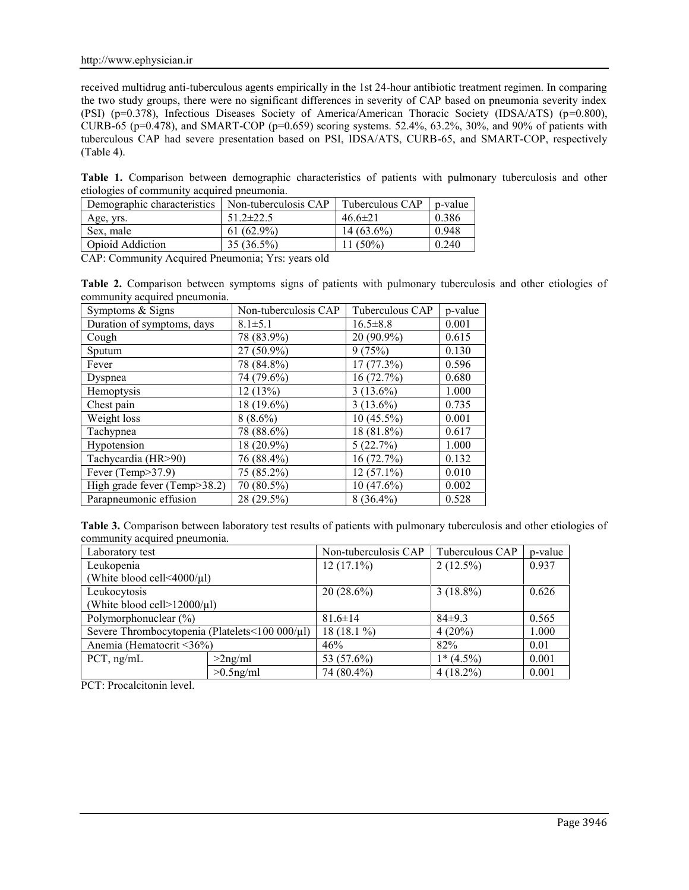received multidrug anti-tuberculous agents empirically in the 1st 24-hour antibiotic treatment regimen. In comparing the two study groups, there were no significant differences in severity of CAP based on pneumonia severity index (PSI) (p=0.378), Infectious Diseases Society of America/American Thoracic Society (IDSA/ATS) (p=0.800), CURB-65 (p=0.478), and SMART-COP (p=0.659) scoring systems. 52.4%, 63.2%, 30%, and 90% of patients with tuberculous CAP had severe presentation based on PSI, IDSA/ATS, CURB-65, and SMART-COP, respectively (Table 4).

**Table 1.** Comparison between demographic characteristics of patients with pulmonary tuberculosis and other etiologies of community acquired pneumonia.

| Demographic characteristics                                                                                                                                                                                                                                                                                                        | Non-tuberculosis CAP | Tuberculous CAP | p-value |  |
|------------------------------------------------------------------------------------------------------------------------------------------------------------------------------------------------------------------------------------------------------------------------------------------------------------------------------------|----------------------|-----------------|---------|--|
| Age, yrs.                                                                                                                                                                                                                                                                                                                          | $51.2 \pm 22.5$      | $46.6 \pm 21$   | 0.386   |  |
| Sex, male                                                                                                                                                                                                                                                                                                                          | $61(62.9\%)$         | $14(63.6\%)$    | 0.948   |  |
| <b>Opioid Addiction</b>                                                                                                                                                                                                                                                                                                            | $35(36.5\%)$         | $1(50\%)$       | 0.240   |  |
| $\overline{C}$ and $\overline{C}$ and $\overline{C}$ and $\overline{C}$ and $\overline{C}$ and $\overline{C}$ and $\overline{C}$ and $\overline{C}$ and $\overline{C}$ and $\overline{C}$ and $\overline{C}$ and $\overline{C}$ and $\overline{C}$ and $\overline{C}$ and $\overline{C}$ and $\overline{C}$ and $\overline{C}$ and |                      |                 |         |  |

CAP: Community Acquired Pneumonia; Yrs: years old

**Table 2.** Comparison between symptoms signs of patients with pulmonary tuberculosis and other etiologies of community acquired pneumonia.

| Symptoms & Signs             | Non-tuberculosis CAP | Tuberculous CAP | p-value |
|------------------------------|----------------------|-----------------|---------|
| Duration of symptoms, days   | $8.1 \pm 5.1$        | $16.5 \pm 8.8$  | 0.001   |
| Cough                        | 78 (83.9%)           | 20 (90.9%)      | 0.615   |
| Sputum                       | 27 (50.9%)           | 9(75%)          | 0.130   |
| Fever                        | 78 (84.8%)           | $17(77.3\%)$    | 0.596   |
| Dyspnea                      | 74 (79.6%)           | 16(72.7%)       | 0.680   |
| Hemoptysis                   | 12(13%)              | $3(13.6\%)$     | 1.000   |
| Chest pain                   | 18 (19.6%)           | $3(13.6\%)$     | 0.735   |
| Weight loss                  | $8(8.6\%)$           | $10(45.5\%)$    | 0.001   |
| Tachypnea                    | 78 (88.6%)           | 18 (81.8%)      | 0.617   |
| Hypotension                  | 18 (20.9%)           | 5(22.7%)        | 1.000   |
| Tachycardia (HR>90)          | 76 (88.4%)           | 16(72.7%)       | 0.132   |
| Fever (Temp>37.9)            | 75 (85.2%)           | $12(57.1\%)$    | 0.010   |
| High grade fever (Temp>38.2) | 70 (80.5%)           | 10(47.6%)       | 0.002   |
| Parapneumonic effusion       | 28 (29.5%)           | $8(36.4\%)$     | 0.528   |

**Table 3.** Comparison between laboratory test results of patients with pulmonary tuberculosis and other etiologies of community acquired pneumonia.

| Laboratory test                                |              | Non-tuberculosis CAP | Tuberculous CAP | p-value |
|------------------------------------------------|--------------|----------------------|-----------------|---------|
| Leukopenia                                     |              | $12(17.1\%)$         | $2(12.5\%)$     | 0.937   |
| (White blood cell $\leq 4000/\mu$ l)           |              |                      |                 |         |
| Leukocytosis                                   |              | $20(28.6\%)$         | $3(18.8\%)$     | 0.626   |
| (White blood cell $>12000/\mu$ l)              |              |                      |                 |         |
| Polymorphonuclear $(\%)$                       |              | $81.6 \pm 14$        | $84\pm9.3$      | 0.565   |
| Severe Thrombocytopenia (Platelets<100 000/µl) |              | 18 $(18.1\%)$        | $4(20\%)$       | 1.000   |
| Anemia (Hematocrit <36%)                       |              | 46%                  | 82%             | 0.01    |
| $PCT$ , ng/mL                                  | $>2$ ng/ml   | 53 (57.6%)           | $1*(4.5\%)$     | 0.001   |
|                                                | $>0.5$ ng/ml | 74 (80.4%)           | $4(18.2\%)$     | 0.001   |

PCT: Procalcitonin level.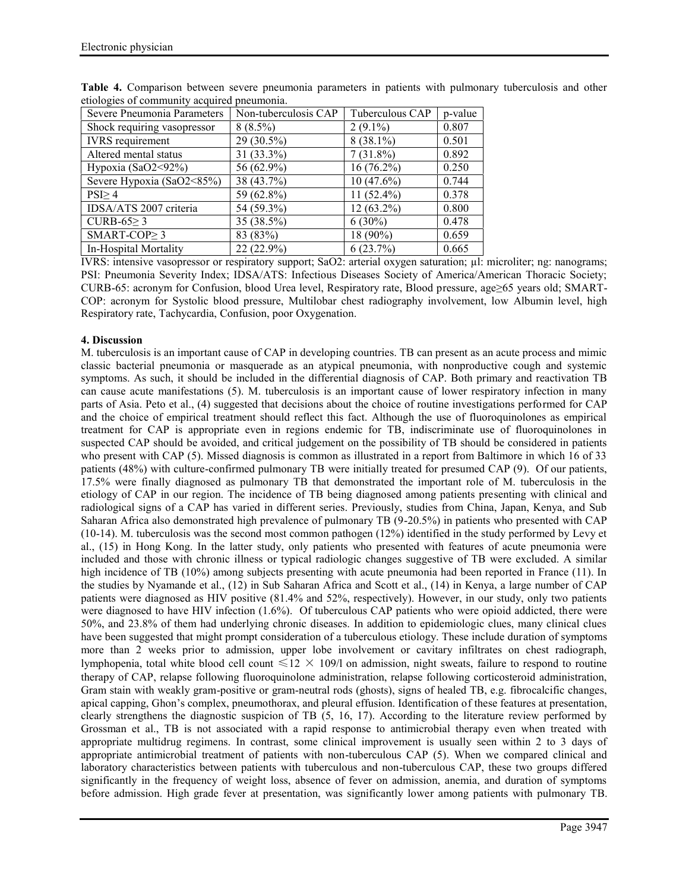| Severe Pneumonia Parameters | Non-tuberculosis CAP | Tuberculous CAP | p-value |
|-----------------------------|----------------------|-----------------|---------|
| Shock requiring vasopressor | $8(8.5\%)$           | $2(9.1\%)$      | 0.807   |
| <b>IVRS</b> requirement     | $29(30.5\%)$         | $8(38.1\%)$     | 0.501   |
| Altered mental status       | $31(33.3\%)$         | $7(31.8\%)$     | 0.892   |
| Hypoxia (SaO2<92%)          | 56 (62.9%)           | $16(76.2\%)$    | 0.250   |
| Severe Hypoxia (SaO2<85%)   | 38 (43.7%)           | $10(47.6\%)$    | 0.744   |
| PSI <sub>2</sub> 4          | 59 (62.8%)           | 11 $(52.4\%)$   | 0.378   |
| IDSA/ATS 2007 criteria      | 54 (59.3%)           | $12(63.2\%)$    | 0.800   |
| CURB-65 $\geq$ 3            | 35 (38.5%)           | $6(30\%)$       | 0.478   |
| SMART-COP $\geq$ 3          | 83 (83%)             | 18 (90%)        | 0.659   |
| In-Hospital Mortality       | $22(22.9\%)$         | 6(23.7%)        | 0.665   |

**Table 4.** Comparison between severe pneumonia parameters in patients with pulmonary tuberculosis and other etiologies of community acquired pneumonia.

IVRS: intensive vasopressor or respiratory support; SaO2: arterial oxygen saturation; µl: microliter; ng: nanograms; PSI: Pneumonia Severity Index; IDSA/ATS: Infectious Diseases Society of America/American Thoracic Society; CURB-65: acronym for Confusion, blood Urea level, Respiratory rate, Blood pressure, age≥65 years old; SMART- COP: acronym for Systolic blood pressure, Multilobar chest radiography involvement, low Albumin level, high Respiratory rate, Tachycardia, Confusion, poor Oxygenation.

# **4. Discussion**

M. tuberculosis is an important cause of CAP in developing countries. TB can present as an acute process and mimic classic bacterial pneumonia or masquerade as an atypical pneumonia, with nonproductive cough and systemic symptoms. As such, it should be included in the differential diagnosis of CAP. Both primary and reactivation TB can cause acute manifestations (5). M. tuberculosis is an important cause of lower respiratory infection in many parts of Asia. Peto et al., (4) suggested that decisions about the choice of routine investigations performed for CAP and the choice of empirical treatment should reflect this fact. Although the use of fluoroquinolones as empirical treatment for CAP is appropriate even in regions endemic for TB, indiscriminate use of fluoroquinolones in suspected CAP should be avoided, and critical judgement on the possibility of TB should be considered in patients who present with CAP (5). Missed diagnosis is common as illustrated in a report from Baltimore in which 16 of 33 patients (48%) with culture-confirmed pulmonary TB were initially treated for presumed CAP (9). Of our patients, 17.5% were finally diagnosed as pulmonary TB that demonstrated the important role of M. tuberculosis in the etiology of CAP in our region. The incidence of TB being diagnosed among patients presenting with clinical and radiological signs of a CAP has varied in different series. Previously, studies from China, Japan, Kenya, and Sub Saharan Africa also demonstrated high prevalence of pulmonary TB (9-20.5%) in patients who presented with CAP (10-14). M. tuberculosis was the second most common pathogen (12%) identified in the study performed by Levy et al., (15) in Hong Kong. In the latter study, only patients who presented with features of acute pneumonia were included and those with chronic illness or typical radiologic changes suggestive of TB were excluded. A similar high incidence of TB (10%) among subjects presenting with acute pneumonia had been reported in France (11). In the studies by Nyamande et al., (12) in Sub Saharan Africa and Scott et al., (14) in Kenya, a large number of CAP patients were diagnosed as HIV positive (81.4% and 52%, respectively). However, in our study, only two patients were diagnosed to have HIV infection (1.6%). Of tuberculous CAP patients who were opioid addicted, there were 50%, and 23.8% of them had underlying chronic diseases. In addition to epidemiologic clues, many clinical clues have been suggested that might prompt consideration of a tuberculous etiology. These include duration of symptoms more than 2 weeks prior to admission, upper lobe involvement or cavitary infiltrates on chest radiograph, lymphopenia, total white blood cell count  $\leq 12 \times 109/1$  on admission, night sweats, failure to respond to routine therapy of CAP, relapse following fluoroquinolone administration, relapse following corticosteroid administration, Gram stain with weakly gram-positive or gram-neutral rods (ghosts), signs of healed TB, e.g. fibrocalcific changes, apical capping, Ghon's complex, pneumothorax, and pleural effusion. Identification of these features at presentation, clearly strengthens the diagnostic suspicion of TB (5, 16, 17). According to the literature review performed by Grossman et al., TB is not associated with a rapid response to antimicrobial therapy even when treated with appropriate multidrug regimens. In contrast, some clinical improvement is usually seen within 2 to 3 days of appropriate antimicrobial treatment of patients with non-tuberculous CAP (5). When we compared clinical and laboratory characteristics between patients with tuberculous and non-tuberculous CAP, these two groups differed significantly in the frequency of weight loss, absence of fever on admission, anemia, and duration of symptoms before admission. High grade fever at presentation, was significantly lower among patients with pulmonary TB.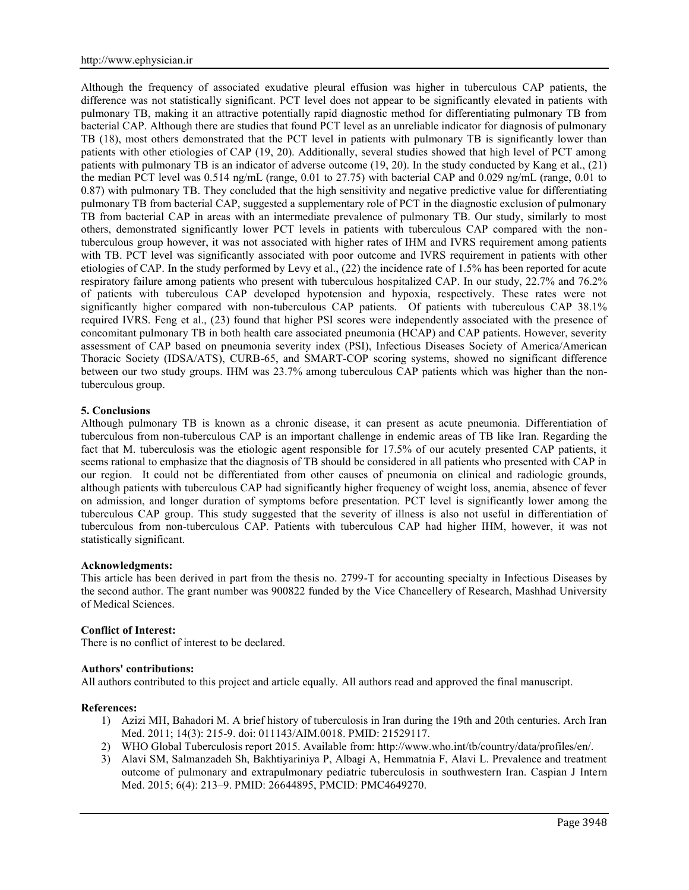Although the frequency of associated exudative pleural effusion was higher in tuberculous CAP patients, the difference was not statistically significant. PCT level does not appear to be significantly elevated in patients with pulmonary TB, making it an attractive potentially rapid diagnostic method for differentiating pulmonary TB from bacterial CAP. Although there are studies that found PCT level as an unreliable indicator for diagnosis of pulmonary TB (18), most others demonstrated that the PCT level in patients with pulmonary TB is significantly lower than patients with other etiologies of CAP (19, 20). Additionally, several studies showed that high level of PCT among patients with pulmonary TB is an indicator of adverse outcome (19, 20). In the study conducted by Kang et al., (21) the median PCT level was 0.514 ng/mL (range, 0.01 to 27.75) with bacterial CAP and 0.029 ng/mL (range, 0.01 to 0.87) with pulmonary TB. They concluded that the high sensitivity and negative predictive value for differentiating pulmonary TB from bacterial CAP, suggested a supplementary role of PCT in the diagnostic exclusion of pulmonary TB from bacterial CAP in areas with an intermediate prevalence of pulmonary TB. Our study, similarly to most others, demonstrated significantly lower PCT levels in patients with tuberculous CAP compared with the nontuberculous group however, it was not associated with higher rates of IHM and IVRS requirement among patients with TB. PCT level was significantly associated with poor outcome and IVRS requirement in patients with other etiologies of CAP. In the study performed by Levy et al., (22) the incidence rate of 1.5% has been reported for acute respiratory failure among patients who present with tuberculous hospitalized CAP. In our study, 22.7% and 76.2% of patients with tuberculous CAP developed hypotension and hypoxia, respectively. These rates were not significantly higher compared with non-tuberculous CAP patients. Of patients with tuberculous CAP 38.1% required IVRS. Feng et al., (23) found that higher PSI scores were independently associated with the presence of concomitant pulmonary TB in both health care associated pneumonia (HCAP) and CAP patients. However, severity assessment of CAP based on pneumonia severity index (PSI), Infectious Diseases Society of America/American Thoracic Society (IDSA/ATS), CURB-65, and SMART-COP scoring systems, showed no significant difference between our two study groups. IHM was 23.7% among tuberculous CAP patients which was higher than the nontuberculous group.

### **5. Conclusions**

Although pulmonary TB is known as a chronic disease, it can present as acute pneumonia. Differentiation of tuberculous from non-tuberculous CAP is an important challenge in endemic areas of TB like Iran. Regarding the fact that M. tuberculosis was the etiologic agent responsible for 17.5% of our acutely presented CAP patients, it seems rational to emphasize that the diagnosis of TB should be considered in all patients who presented with CAP in our region. It could not be differentiated from other causes of pneumonia on clinical and radiologic grounds, although patients with tuberculous CAP had significantly higher frequency of weight loss, anemia, absence of fever on admission, and longer duration of symptoms before presentation. PCT level is significantly lower among the tuberculous CAP group. This study suggested that the severity of illness is also not useful in differentiation of tuberculous from non-tuberculous CAP. Patients with tuberculous CAP had higher IHM, however, it was not statistically significant.

### **Acknowledgments:**

This article has been derived in part from the thesis no. 2799-T for accounting specialty in Infectious Diseases by the second author. The grant number was 900822 funded by the Vice Chancellery of Research, Mashhad University of Medical Sciences.

### **Conflict of Interest:**

There is no conflict of interest to be declared.

### **Authors' contributions:**

All authors contributed to this project and article equally. All authors read and approved the final manuscript.

#### **References:**

- 1) Azizi MH, Bahadori M. A brief history of tuberculosis in Iran during the 19th and 20th centuries. Arch Iran Med. 2011; 14(3): 215-9. doi: 011143/AIM.0018. PMID: 21529117.
- 2) WHO Global Tuberculosis report 2015. Available from: http://www.who.int/tb/country/data/profiles/en/.
- 3) Alavi SM, Salmanzadeh Sh, Bakhtiyariniya P, Albagi A, Hemmatnia F, Alavi L. Prevalence and treatment outcome of pulmonary and extrapulmonary pediatric tuberculosis in southwestern Iran. Caspian J Intern Med. 2015; 6(4): 213–9. PMID: 26644895, PMCID: PMC4649270.